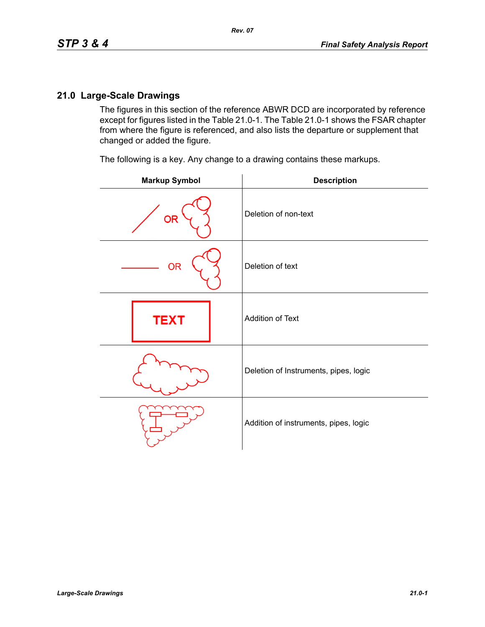The figures in this section of the reference ABWR DCD are incorporated by reference except for figures listed in the Table 21.0-1. The Table 21.0-1 shows the FSAR chapter from where the figure is referenced, and also lists the departure or supplement that changed or added the figure.

The following is a key. Any change to a drawing contains these markups.

| <b>Markup Symbol</b> | <b>Description</b>                    |
|----------------------|---------------------------------------|
| <b>OR</b>            | Deletion of non-text                  |
| <b>OR</b>            | Deletion of text                      |
| <b>TEXT</b>          | Addition of Text                      |
|                      | Deletion of Instruments, pipes, logic |
|                      | Addition of instruments, pipes, logic |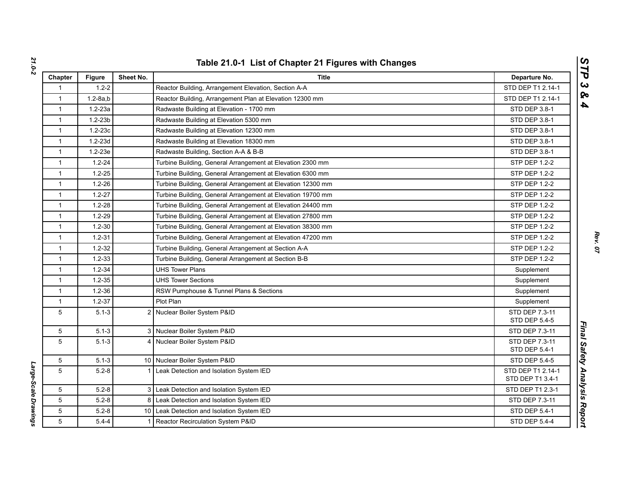| Chapter      | <b>Figure</b>  | Sheet No. | <b>Title</b>                                                | Departure No.                         |
|--------------|----------------|-----------|-------------------------------------------------------------|---------------------------------------|
| 1            | $1.2 - 2$      |           | Reactor Building, Arrangement Elevation, Section A-A        | STD DEP T1 2.14-1                     |
| $\mathbf{1}$ | $1.2 - 8a$ , b |           | Reactor Building, Arrangement Plan at Elevation 12300 mm    | STD DEP T1 2.14-1                     |
| $\mathbf{1}$ | $1.2 - 23a$    |           | Radwaste Building at Elevation - 1700 mm                    | <b>STD DEP 3.8-1</b>                  |
| $\mathbf{1}$ | $1.2 - 23b$    |           | Radwaste Building at Elevation 5300 mm                      | STD DEP 3.8-1                         |
| $\mathbf{1}$ | $1.2 - 23c$    |           | Radwaste Building at Elevation 12300 mm                     | STD DEP 3.8-1                         |
| $\mathbf{1}$ | $1.2 - 23d$    |           | Radwaste Building at Elevation 18300 mm                     | STD DEP 3.8-1                         |
| $\mathbf{1}$ | $1.2 - 23e$    |           | Radwaste Building, Section A-A & B-B                        | STD DEP 3.8-1                         |
| $\mathbf{1}$ | $1.2 - 24$     |           | Turbine Building, General Arrangement at Elevation 2300 mm  | STP DEP 1.2-2                         |
| $\mathbf{1}$ | $1.2 - 25$     |           | Turbine Building, General Arrangement at Elevation 6300 mm  | STP DEP 1.2-2                         |
| $\mathbf{1}$ | $1.2 - 26$     |           | Turbine Building, General Arrangement at Elevation 12300 mm | <b>STP DEP 1.2-2</b>                  |
| $\mathbf{1}$ | $1.2 - 27$     |           | Turbine Building, General Arrangement at Elevation 19700 mm | <b>STP DEP 1.2-2</b>                  |
| $\mathbf{1}$ | $1.2 - 28$     |           | Turbine Building, General Arrangement at Elevation 24400 mm | STP DEP 1.2-2                         |
| $\mathbf{1}$ | $1.2 - 29$     |           | Turbine Building, General Arrangement at Elevation 27800 mm | <b>STP DEP 1.2-2</b>                  |
| $\mathbf{1}$ | $1.2 - 30$     |           | Turbine Building, General Arrangement at Elevation 38300 mm | STP DEP 1.2-2                         |
| $\mathbf{1}$ | $1.2 - 31$     |           | Turbine Building, General Arrangement at Elevation 47200 mm | STP DEP 1.2-2                         |
| $\mathbf{1}$ | $1.2 - 32$     |           | Turbine Building, General Arrangement at Section A-A        | STP DEP 1.2-2                         |
| $\mathbf{1}$ | $1.2 - 33$     |           | Turbine Building, General Arrangement at Section B-B        | <b>STP DEP 1.2-2</b>                  |
| $\mathbf{1}$ | $1.2 - 34$     |           | <b>UHS Tower Plans</b>                                      | Supplement                            |
| $\mathbf{1}$ | $1.2 - 35$     |           | <b>UHS Tower Sections</b>                                   | Supplement                            |
| $\mathbf{1}$ | $1.2 - 36$     |           | RSW Pumphouse & Tunnel Plans & Sections                     | Supplement                            |
| $\mathbf{1}$ | $1.2 - 37$     |           | Plot Plan                                                   | Supplement                            |
| 5            | $5.1 - 3$      |           | 2 Nuclear Boiler System P&ID                                | STD DEP 7.3-11<br>STD DEP 5.4-5       |
| 5            | $5.1 - 3$      |           | 3 Nuclear Boiler System P&ID                                | STD DEP 7.3-11                        |
| 5            | $5.1 - 3$      |           | 4 Nuclear Boiler System P&ID                                | STD DEP 7.3-11<br>STD DEP 5.4-1       |
| 5            | $5.1 - 3$      |           | 10 Nuclear Boiler System P&ID                               | STD DEP 5.4-5                         |
| 5            | $5.2 - 8$      | 11        | Leak Detection and Isolation System IED                     | STD DEP T1 2.14-1<br>STD DEP T1 3.4-1 |
| 5            | $5.2 - 8$      |           | 3 Leak Detection and Isolation System IED                   | STD DEP T1 2.3-1                      |
| 5            | $5.2 - 8$      |           | 8 Leak Detection and Isolation System IED                   | STD DEP 7.3-11                        |
| 5            | $5.2 - 8$      |           | 10 Leak Detection and Isolation System IED                  | <b>STD DEP 5.4-1</b>                  |
| 5            | $5.4 - 4$      | $1 \mid$  | Reactor Recirculation System P&ID                           | STD DEP 5.4-4                         |

Large-Scale Drawings *Large-Scale Drawings*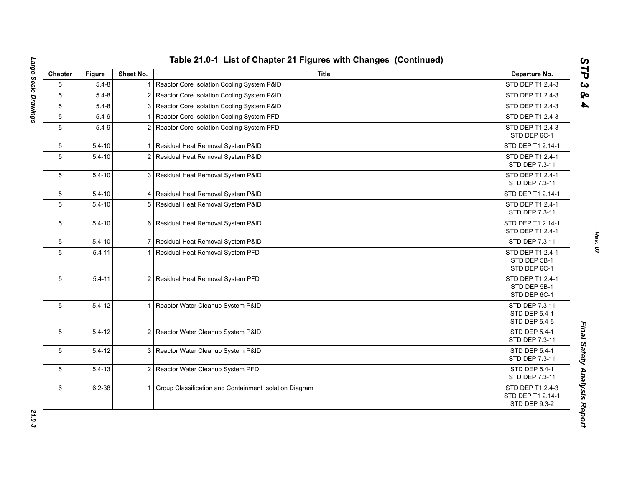| Chapter         | <b>Figure</b> | Sheet No.      | <b>Title</b>                                             | Departure No.                                                 |
|-----------------|---------------|----------------|----------------------------------------------------------|---------------------------------------------------------------|
| 5               | $5.4 - 8$     | 1 <sup>1</sup> | Reactor Core Isolation Cooling System P&ID               | STD DEP T1 2.4-3                                              |
| 5               | $5.4 - 8$     |                | 2 Reactor Core Isolation Cooling System P&ID             | STD DEP T1 2.4-3                                              |
| 5               | $5.4 - 8$     |                | 3 Reactor Core Isolation Cooling System P&ID             | STD DEP T1 2.4-3                                              |
| $5\phantom{.0}$ | $5.4 - 9$     |                | Reactor Core Isolation Cooling System PFD                | STD DEP T1 2.4-3                                              |
| 5               | $5.4 - 9$     |                | 2 Reactor Core Isolation Cooling System PFD              | STD DEP T1 2.4-3<br>STD DEP 6C-1                              |
| 5               | $5.4 - 10$    |                | Residual Heat Removal System P&ID                        | STD DEP T1 2.14-1                                             |
| 5               | $5.4 - 10$    | 2 <sub>1</sub> | Residual Heat Removal System P&ID                        | STD DEP T1 2.4-1<br>STD DEP 7.3-11                            |
| 5               | $5.4 - 10$    |                | 3 Residual Heat Removal System P&ID                      | STD DEP T1 2.4-1<br>STD DEP 7.3-11                            |
| 5               | $5.4 - 10$    |                | 4 Residual Heat Removal System P&ID                      | STD DEP T1 2.14-1                                             |
| 5               | $5.4 - 10$    |                | 5 Residual Heat Removal System P&ID                      | STD DEP T1 2.4-1<br>STD DEP 7.3-11                            |
| 5               | $5.4 - 10$    |                | 6 Residual Heat Removal System P&ID                      | STD DEP T1 2.14-1<br>STD DEP T1 2.4-1                         |
| 5               | $5.4 - 10$    |                | 7 Residual Heat Removal System P&ID                      | STD DEP 7.3-11                                                |
| 5               | $5.4 - 11$    | 11             | Residual Heat Removal System PFD                         | STD DEP T1 2.4-1<br>STD DEP 5B-1<br>STD DEP 6C-1              |
| 5               | $5.4 - 11$    |                | 2 Residual Heat Removal System PFD                       | STD DEP T1 2.4-1<br>STD DEP 5B-1<br>STD DEP 6C-1              |
| 5               | $5.4 - 12$    | 11             | Reactor Water Cleanup System P&ID                        | STD DEP 7.3-11<br>STD DEP 5.4-1<br>STD DEP 5.4-5              |
| 5               | $5.4 - 12$    |                | 2 Reactor Water Cleanup System P&ID                      | <b>STD DEP 5.4-1</b><br>STD DEP 7.3-11                        |
| 5               | $5.4 - 12$    |                | 3 Reactor Water Cleanup System P&ID                      | STD DEP 5.4-1<br>STD DEP 7.3-11                               |
| 5               | $5.4 - 13$    |                | 2 Reactor Water Cleanup System PFD                       | STD DEP 5.4-1<br>STD DEP 7.3-11                               |
| 6               | $6.2 - 38$    |                | 1 Group Classification and Containment Isolation Diagram | STD DEP T1 2.4-3<br>STD DEP T1 2.14-1<br><b>STD DEP 9.3-2</b> |

*STP 3 & 4*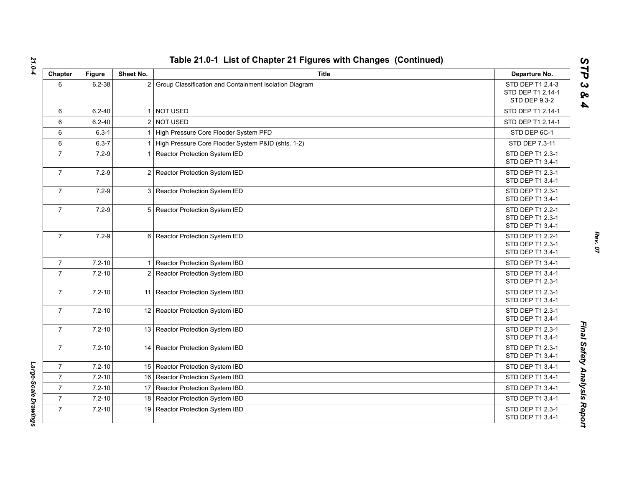| Chapter        | <b>Figure</b> | Sheet No. | <b>Title</b>                                             | Departure No.                                                 |
|----------------|---------------|-----------|----------------------------------------------------------|---------------------------------------------------------------|
| 6              | $6.2 - 38$    |           | 2 Group Classification and Containment Isolation Diagram | STD DEP T1 2.4-3<br>STD DEP T1 2.14-1<br><b>STD DEP 9.3-2</b> |
| 6              | $6.2 - 40$    |           | 1 NOT USED                                               | STD DEP T1 2.14-1                                             |
| 6              | $6.2 - 40$    |           | 2 NOT USED                                               | STD DEP T1 2.14-1                                             |
| 6              | $6.3 - 1$     |           | 1 High Pressure Core Flooder System PFD                  | STD DEP 6C-1                                                  |
| 6              | $6.3 - 7$     |           | 1 High Pressure Core Flooder System P&ID (shts. 1-2)     | STD DEP 7.3-11                                                |
| $\overline{7}$ | $7.2 - 9$     |           | 1 Reactor Protection System IED                          | STD DEP T1 2.3-1<br>STD DEP T1 3.4-1                          |
| $\overline{7}$ | $7.2 - 9$     |           | 2 Reactor Protection System IED                          | STD DEP T1 2.3-1<br>STD DEP T1 3.4-1                          |
| $\overline{7}$ | $7.2 - 9$     |           | 3 Reactor Protection System IED                          | STD DEP T1 2.3-1<br>STD DEP T1 3.4-1                          |
| $\overline{7}$ | $7.2 - 9$     |           | 5 Reactor Protection System IED                          | STD DEP T1 2.2-1<br>STD DEP T1 2.3-1<br>STD DEP T1 3.4-1      |
| $\overline{7}$ | $7.2 - 9$     |           | 6 Reactor Protection System IED                          | STD DEP T1 2.2-1<br>STD DEP T1 2.3-1<br>STD DEP T1 3.4-1      |
| $\overline{7}$ | $7.2 - 10$    |           | 1 Reactor Protection System IBD                          | STD DEP T1 3.4-1                                              |
| $\overline{7}$ | $7.2 - 10$    |           | 2 Reactor Protection System IBD                          | STD DEP T1 3.4-1<br>STD DEP T1 2.3-1                          |
| $\overline{7}$ | $7.2 - 10$    |           | 11 Reactor Protection System IBD                         | STD DEP T1 2.3-1<br>STD DEP T1 3.4-1                          |
| $\overline{7}$ | $7.2 - 10$    |           | 12 Reactor Protection System IBD                         | STD DEP T1 2.3-1<br>STD DEP T1 3.4-1                          |
| $\overline{7}$ | $7.2 - 10$    |           | 13 Reactor Protection System IBD                         | STD DEP T1 2.3-1<br>STD DEP T1 3.4-1                          |
| $\overline{7}$ | $7.2 - 10$    |           | 14 Reactor Protection System IBD                         | STD DEP T1 2.3-1<br>STD DEP T1 3.4-1                          |
| $\mathbf{7}$   | $7.2 - 10$    |           | 15 Reactor Protection System IBD                         | STD DEP T1 3.4-1                                              |
| $\overline{7}$ | $7.2 - 10$    |           | 16 Reactor Protection System IBD                         | STD DEP T1 3.4-1                                              |
| $\overline{7}$ | $7.2 - 10$    |           | 17 Reactor Protection System IBD                         | STD DEP T1 3.4-1                                              |
| $\overline{7}$ | $7.2 - 10$    |           | 18 Reactor Protection System IBD                         | STD DEP T1 3.4-1                                              |
| $\overline{7}$ | $7.2 - 10$    |           | 19 Reactor Protection System IBD                         | STD DEP T1 2.3-1<br>STD DEP T1 3.4-1                          |

*STP 3 & 4*

Large-Scale Drawings *Large-Scale Drawings*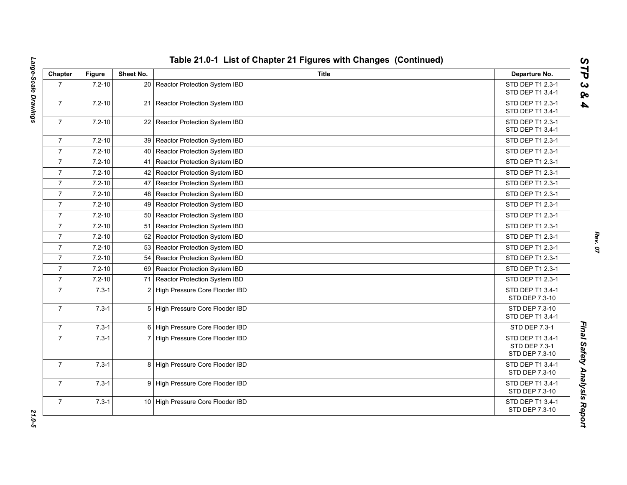| Chapter        | <b>Figure</b> | Sheet No.      | <b>Title</b>                       | Departure No.                                       |
|----------------|---------------|----------------|------------------------------------|-----------------------------------------------------|
| $\overline{7}$ | $7.2 - 10$    |                | 20 Reactor Protection System IBD   | STD DEP T1 2.3-1<br>STD DEP T1 3.4-1                |
| $\overline{7}$ | $7.2 - 10$    |                | 21 Reactor Protection System IBD   | STD DEP T1 2.3-1<br>STD DEP T1 3.4-1                |
| $\overline{7}$ | $7.2 - 10$    |                | 22 Reactor Protection System IBD   | STD DEP T1 2.3-1<br>STD DEP T1 3.4-1                |
| $\overline{7}$ | $7.2 - 10$    |                | 39 Reactor Protection System IBD   | STD DEP T1 2.3-1                                    |
| $\overline{7}$ | $7.2 - 10$    | 40             | Reactor Protection System IBD      | STD DEP T1 2.3-1                                    |
| $\overline{7}$ | $7.2 - 10$    | 41             | Reactor Protection System IBD      | STD DEP T1 2.3-1                                    |
| $\overline{7}$ | $7.2 - 10$    |                | 42 Reactor Protection System IBD   | STD DEP T1 2.3-1                                    |
| $\overline{7}$ | $7.2 - 10$    | 47             | Reactor Protection System IBD      | STD DEP T1 2.3-1                                    |
| $\overline{7}$ | $7.2 - 10$    |                | 48   Reactor Protection System IBD | STD DEP T1 2.3-1                                    |
| $\overline{7}$ | $7.2 - 10$    |                | 49 Reactor Protection System IBD   | STD DEP T1 2.3-1                                    |
| $\overline{7}$ | $7.2 - 10$    |                | 50 Reactor Protection System IBD   | STD DEP T1 2.3-1                                    |
| $\overline{7}$ | $7.2 - 10$    | 51             | Reactor Protection System IBD      | STD DEP T1 2.3-1                                    |
| $\overline{7}$ | $7.2 - 10$    |                | 52 Reactor Protection System IBD   | STD DEP T1 2.3-1                                    |
| $\overline{7}$ | $7.2 - 10$    |                | 53 Reactor Protection System IBD   | STD DEP T1 2.3-1                                    |
| $\overline{7}$ | $7.2 - 10$    |                | 54 Reactor Protection System IBD   | STD DEP T1 2.3-1                                    |
| $\overline{7}$ | $7.2 - 10$    |                | 69   Reactor Protection System IBD | STD DEP T1 2.3-1                                    |
| $\overline{7}$ | $7.2 - 10$    |                | 71 Reactor Protection System IBD   | STD DEP T1 2.3-1                                    |
| $\overline{7}$ | $7.3 - 1$     | $\overline{2}$ | High Pressure Core Flooder IBD     | STD DEP T1 3.4-1<br>STD DEP 7.3-10                  |
| $\overline{7}$ | $7.3 - 1$     |                | 5 High Pressure Core Flooder IBD   | STD DEP 7.3-10<br>STD DEP T1 3.4-1                  |
| $\overline{7}$ | $7.3 - 1$     |                | 6 High Pressure Core Flooder IBD   | STD DEP 7.3-1                                       |
| $\overline{7}$ | $7.3 - 1$     |                | 7 High Pressure Core Flooder IBD   | STD DEP T1 3.4-1<br>STD DEP 7.3-1<br>STD DEP 7.3-10 |
| $\overline{7}$ | $7.3 - 1$     |                | 8 High Pressure Core Flooder IBD   | STD DEP T1 3.4-1<br>STD DEP 7.3-10                  |
| $\overline{7}$ | $7.3 - 1$     |                | 9 High Pressure Core Flooder IBD   | STD DEP T1 3.4-1<br>STD DEP 7.3-10                  |
| $\overline{7}$ | $7.3 - 1$     |                | 10 High Pressure Core Flooder IBD  | STD DEP T1 3.4-1<br>STD DEP 7.3-10                  |

*Rev. 07*

*STP 3 & 4*

*Large-Scale Drawings 21.0-5* 21.0-5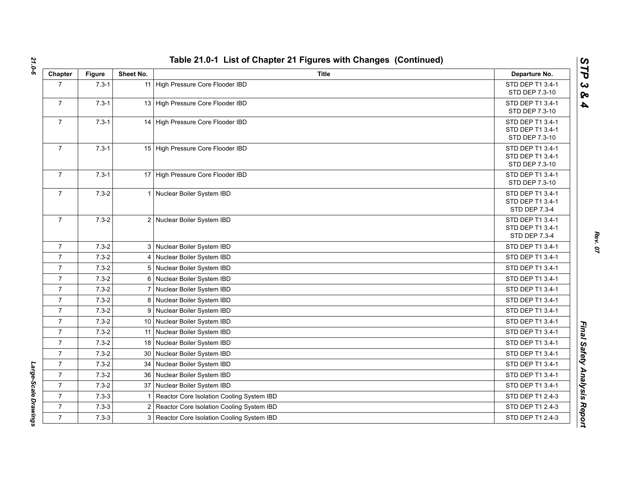| Chapter        | <b>Figure</b> | Sheet No.       | <b>Title</b>                                | Departure No.                                                |
|----------------|---------------|-----------------|---------------------------------------------|--------------------------------------------------------------|
| $\overline{7}$ | $7.3 - 1$     |                 | 11 High Pressure Core Flooder IBD           | STD DEP T1 3.4-1<br>STD DEP 7.3-10                           |
| $\overline{7}$ | $7.3 - 1$     |                 | 13 High Pressure Core Flooder IBD           | STD DEP T1 3.4-1<br>STD DEP 7.3-10                           |
| $\overline{7}$ | $7.3 - 1$     |                 | 14 High Pressure Core Flooder IBD           | STD DEP T1 3.4-1<br>STD DEP T1 3.4-1<br>STD DEP 7.3-10       |
| $\overline{7}$ | $7.3 - 1$     |                 | 15 High Pressure Core Flooder IBD           | STD DEP T1 3.4-1<br>STD DEP T1 3.4-1<br>STD DEP 7.3-10       |
| $\overline{7}$ | $7.3 - 1$     |                 | 17 High Pressure Core Flooder IBD           | STD DEP T1 3.4-1<br>STD DEP 7.3-10                           |
| $\overline{7}$ | $7.3 - 2$     |                 | 1 Nuclear Boiler System IBD                 | STD DEP T1 3.4-1<br>STD DEP T1 3.4-1<br><b>STD DEP 7.3-4</b> |
| $\overline{7}$ | $7.3 - 2$     |                 | 2 Nuclear Boiler System IBD                 | STD DEP T1 3.4-1<br>STD DEP T1 3.4-1<br>STD DEP 7.3-4        |
| $\overline{7}$ | $7.3 - 2$     |                 | 3 Nuclear Boiler System IBD                 | STD DEP T1 3.4-1                                             |
| $\overline{7}$ | $7.3 - 2$     |                 | 4 Nuclear Boiler System IBD                 | STD DEP T1 3.4-1                                             |
| $\overline{7}$ | $7.3 - 2$     |                 | 5 Nuclear Boiler System IBD                 | STD DEP T1 3.4-1                                             |
| $\overline{7}$ | $7.3 - 2$     |                 | 6 Nuclear Boiler System IBD                 | STD DEP T1 3.4-1                                             |
| $\overline{7}$ | $7.3 - 2$     |                 | 7 Nuclear Boiler System IBD                 | STD DEP T1 3.4-1                                             |
| $\overline{7}$ | $7.3 - 2$     |                 | 8 Nuclear Boiler System IBD                 | STD DEP T1 3.4-1                                             |
| $\overline{7}$ | $7.3 - 2$     | 9               | Nuclear Boiler System IBD                   | STD DEP T1 3.4-1                                             |
| $\overline{7}$ | $7.3 - 2$     |                 | 10 Nuclear Boiler System IBD                | STD DEP T1 3.4-1                                             |
| $\overline{7}$ | $7.3 - 2$     |                 | 11 Nuclear Boiler System IBD                | STD DEP T1 3.4-1                                             |
| $\overline{7}$ | $7.3 - 2$     |                 | 18 Nuclear Boiler System IBD                | STD DEP T1 3.4-1                                             |
| $\overline{7}$ | $7.3 - 2$     | 30 <sup>°</sup> | Nuclear Boiler System IBD                   | STD DEP T1 3.4-1                                             |
| $\overline{7}$ | $7.3 - 2$     | 34              | Nuclear Boiler System IBD                   | STD DEP T1 3.4-1                                             |
| $\overline{7}$ | $7.3 - 2$     | 36              | Nuclear Boiler System IBD                   | STD DEP T1 3.4-1                                             |
| $\overline{7}$ | $7.3 - 2$     |                 | 37 Nuclear Boiler System IBD                | STD DEP T1 3.4-1                                             |
| $\overline{7}$ | $7.3 - 3$     | 1               | Reactor Core Isolation Cooling System IBD   | STD DEP T1 2.4-3                                             |
| $\overline{7}$ | $7.3 - 3$     | $\overline{2}$  | Reactor Core Isolation Cooling System IBD   | STD DEP T1 2.4-3                                             |
| $\overline{7}$ | $7.3 - 3$     |                 | 3 Reactor Core Isolation Cooling System IBD | STD DEP T1 2.4-3                                             |

Large-Scale Drawings *Large-Scale Drawings* 

*Rev. 07*

*STP 3 & 4*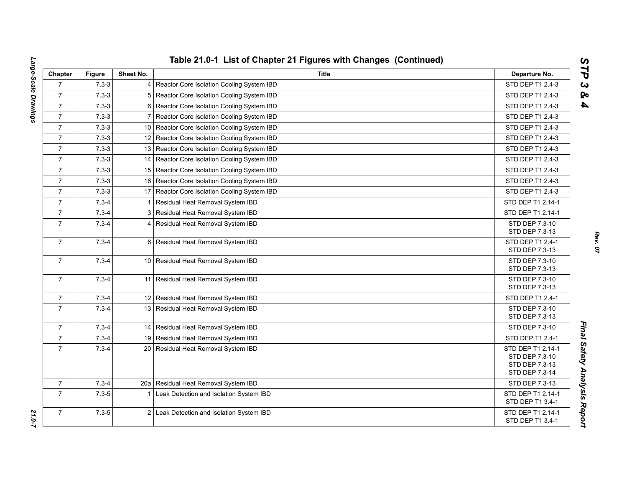| Chapter        | <b>Figure</b> | Sheet No.       | <b>Title</b>                                   | Departure No.                       |
|----------------|---------------|-----------------|------------------------------------------------|-------------------------------------|
| $\overline{7}$ | $7.3 - 3$     |                 | 4 Reactor Core Isolation Cooling System IBD    | STD DEP T1 2.4-3                    |
| $\overline{7}$ | $7.3 - 3$     | 5               | Reactor Core Isolation Cooling System IBD      | STD DEP T1 2.4-3                    |
| $\overline{7}$ | $7.3 - 3$     | 6               | Reactor Core Isolation Cooling System IBD      | STD DEP T1 2.4-3                    |
| $\overline{7}$ | $7.3 - 3$     | $\overline{7}$  | Reactor Core Isolation Cooling System IBD      | STD DEP T1 2.4-3                    |
| $\overline{7}$ | $7.3 - 3$     |                 | 10   Reactor Core Isolation Cooling System IBD | STD DEP T1 2.4-3                    |
| $\overline{7}$ | $7.3 - 3$     |                 | 12 Reactor Core Isolation Cooling System IBD   | STD DEP T1 2.4-3                    |
| $\overline{7}$ | $7.3 - 3$     |                 | 13 Reactor Core Isolation Cooling System IBD   | STD DEP T1 2.4-3                    |
| $\overline{7}$ | $7.3 - 3$     | 14              | Reactor Core Isolation Cooling System IBD      | STD DEP T1 2.4-3                    |
| $\overline{7}$ | $7.3 - 3$     | 15 <sup>1</sup> | Reactor Core Isolation Cooling System IBD      | STD DEP T1 2.4-3                    |
| $\overline{7}$ | $7.3 - 3$     | 16              | Reactor Core Isolation Cooling System IBD      | STD DEP T1 2.4-3                    |
| $\overline{7}$ | $7.3 - 3$     |                 | 17 Reactor Core Isolation Cooling System IBD   | STD DEP T1 2.4-3                    |
| $\overline{7}$ | $7.3 - 4$     | $\mathbf 1$     | Residual Heat Removal System IBD               | STD DEP T1 2.14-1                   |
| $\overline{7}$ | $7.3 - 4$     |                 | 3 Residual Heat Removal System IBD             | STD DEP T1 2.14-1                   |
| $\overline{7}$ | $7.3 - 4$     |                 | 4 Residual Heat Removal System IBD             | STD DEP 7.3-10                      |
|                |               |                 |                                                | STD DEP 7.3-13                      |
| $\overline{7}$ | $7.3 - 4$     |                 | 6 Residual Heat Removal System IBD             | STD DEP T1 2.4-1<br>STD DEP 7.3-13  |
| $\overline{7}$ | $7.3 - 4$     |                 | 10 Residual Heat Removal System IBD            | STD DEP 7.3-10                      |
|                |               |                 |                                                | STD DEP 7.3-13                      |
| $\overline{7}$ | $7.3 - 4$     | 11              | Residual Heat Removal System IBD               | STD DEP 7.3-10                      |
|                |               |                 |                                                | STD DEP 7.3-13                      |
| $\overline{7}$ | $7.3 - 4$     |                 | 12 Residual Heat Removal System IBD            | STD DEP T1 2.4-1                    |
| $\overline{7}$ | $7.3 - 4$     |                 | 13 Residual Heat Removal System IBD            | STD DEP 7.3-10                      |
|                |               |                 |                                                | STD DEP 7.3-13                      |
| $\overline{7}$ | $7.3 - 4$     |                 | 14   Residual Heat Removal System IBD          | STD DEP 7.3-10                      |
| $\overline{7}$ | $7.3 - 4$     |                 | 19 Residual Heat Removal System IBD            | STD DEP T1 2.4-1                    |
| $\overline{7}$ | $7.3 - 4$     |                 | 20 Residual Heat Removal System IBD            | STD DEP T1 2.14-1<br>STD DEP 7.3-10 |
|                |               |                 |                                                | STD DEP 7.3-13                      |
|                |               |                 |                                                | STD DEP 7.3-14                      |
| $\overline{7}$ | $7.3 - 4$     | 20a             | Residual Heat Removal System IBD               | STD DEP 7.3-13                      |
| $\overline{7}$ | $7.3 - 5$     | 1               | Leak Detection and Isolation System IBD        | STD DEP T1 2.14-1                   |
|                |               |                 |                                                | STD DEP T1 3.4-1                    |
| $\overline{7}$ | $7.3 - 5$     |                 | 2 Leak Detection and Isolation System IBD      | STD DEP T1 2.14-1                   |
|                |               |                 |                                                | STD DEP T1 3.4-1                    |

*Rev. 07*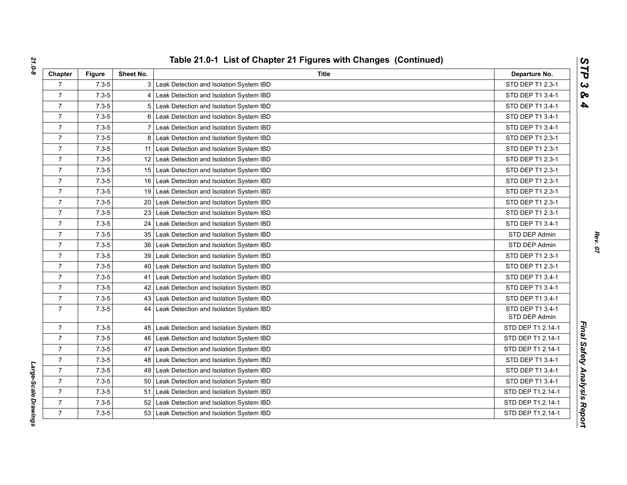| Chapter        | <b>Figure</b> | Sheet No.       | Title                                        | Departure No.                     |
|----------------|---------------|-----------------|----------------------------------------------|-----------------------------------|
| $\overline{7}$ | $7.3 - 5$     |                 | 3 Leak Detection and Isolation System IBD    | STD DEP T1 2.3-1                  |
| $\overline{7}$ | $7.3 - 5$     |                 | 4 Leak Detection and Isolation System IBD    | STD DEP T1 3.4-1                  |
| $\overline{7}$ | $7.3 - 5$     |                 | 5 Leak Detection and Isolation System IBD    | STD DEP T1 3.4-1                  |
| $\overline{7}$ | $7.3 - 5$     |                 | 6 Leak Detection and Isolation System IBD    | STD DEP T1 3.4-1                  |
| $\overline{7}$ | $7.3 - 5$     |                 | 7 Leak Detection and Isolation System IBD    | STD DEP T1 3.4-1                  |
| $\overline{7}$ | $7.3 - 5$     |                 | 8 Leak Detection and Isolation System IBD    | STD DEP T1 2.3-1                  |
| $\overline{7}$ | $7.3 - 5$     |                 | 11 Leak Detection and Isolation System IBD   | STD DEP T1 2.3-1                  |
| $\overline{7}$ | $7.3 - 5$     |                 | 12 Leak Detection and Isolation System IBD   | STD DEP T1 2.3-1                  |
| $\overline{7}$ | $7.3 - 5$     |                 | 15 Leak Detection and Isolation System IBD   | STD DEP T1 2.3-1                  |
| $\overline{7}$ | $7.3 - 5$     |                 | 16 Leak Detection and Isolation System IBD   | STD DEP T1 2.3-1                  |
| $\overline{7}$ | $7.3 - 5$     |                 | 19 Leak Detection and Isolation System IBD   | STD DEP T1 2.3-1                  |
| $\overline{7}$ | $7.3 - 5$     |                 | 20 Leak Detection and Isolation System IBD   | STD DEP T1 2.3-1                  |
| $\overline{7}$ | $7.3 - 5$     |                 | 23 Leak Detection and Isolation System IBD   | STD DEP T1 2.3-1                  |
| $\overline{7}$ | $7.3 - 5$     |                 | 24 Leak Detection and Isolation System IBD   | STD DEP T1 3.4-1                  |
| $\overline{7}$ | $7.3 - 5$     |                 | 35 Leak Detection and Isolation System IBD   | STD DEP Admin                     |
| $\overline{7}$ | $7.3 - 5$     |                 | 36 Leak Detection and Isolation System IBD   | STD DEP Admin                     |
| $\overline{7}$ | $7.3 - 5$     |                 | 39 Leak Detection and Isolation System IBD   | STD DEP T1 2.3-1                  |
| $\overline{7}$ | $7.3 - 5$     |                 | 40   Leak Detection and Isolation System IBD | STD DEP T1 2.3-1                  |
| $\overline{7}$ | $7.3 - 5$     | 41              | Leak Detection and Isolation System IBD      | STD DEP T1 3.4-1                  |
| $\overline{7}$ | $7.3 - 5$     |                 | 42 Leak Detection and Isolation System IBD   | STD DEP T1 3.4-1                  |
| $\overline{7}$ | $7.3 - 5$     |                 | 43 Leak Detection and Isolation System IBD   | STD DEP T1 3.4-1                  |
| $\overline{7}$ | $7.3 - 5$     |                 | 44 Leak Detection and Isolation System IBD   | STD DEP T1 3.4-1<br>STD DEP Admin |
| $\overline{7}$ | $7.3 - 5$     |                 | 45 Leak Detection and Isolation System IBD   | STD DEP T1 2.14-1                 |
| $\overline{7}$ | $7.3 - 5$     |                 | 46 Leak Detection and Isolation System IBD   | STD DEP T1 2.14-1                 |
| $\overline{7}$ | $7.3 - 5$     |                 | 47 Leak Detection and Isolation System IBD   | STD DEP T1 2.14-1                 |
| $\overline{7}$ | $7.3 - 5$     |                 | 48 Leak Detection and Isolation System IBD   | STD DEP T1 3.4-1                  |
| $\overline{7}$ | $7.3 - 5$     |                 | 49 Leak Detection and Isolation System IBD   | STD DEP T1 3.4-1                  |
| $\overline{7}$ | $7.3 - 5$     | 50 <sub>1</sub> | Leak Detection and Isolation System IBD      | STD DEP T1 3.4-1                  |
| $\overline{7}$ | $7.3 - 5$     | 51              | Leak Detection and Isolation System IBD      | STD DEP T1.2.14-1                 |
| $\overline{7}$ | $7.3 - 5$     |                 | 52 Leak Detection and Isolation System IBD   | STD DEP T1.2.14-1                 |
| $\overline{7}$ | $7.3 - 5$     |                 | 53 Leak Detection and Isolation System IBD   | STD DEP T1.2.14-1                 |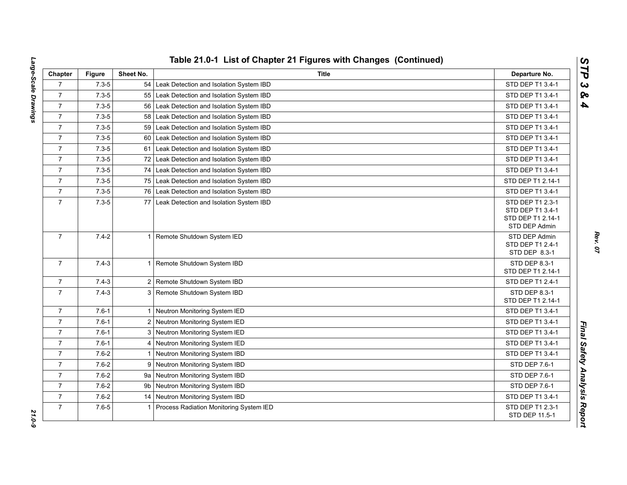| Chapter        | <b>Figure</b> | Sheet No.    | Title                                       | Departure No.                                                              |
|----------------|---------------|--------------|---------------------------------------------|----------------------------------------------------------------------------|
| $\overline{7}$ | $7.3 - 5$     |              | 54 Leak Detection and Isolation System IBD  | STD DEP T1 3.4-1                                                           |
| $\overline{7}$ | $7.3 - 5$     | 55           | Leak Detection and Isolation System IBD     | STD DEP T1 3.4-1                                                           |
| $\overline{7}$ | $7.3 - 5$     | 56           | Leak Detection and Isolation System IBD     | STD DEP T1 3.4-1                                                           |
| $\overline{7}$ | $7.3 - 5$     | 58           | Leak Detection and Isolation System IBD     | STD DEP T1 3.4-1                                                           |
| $\overline{7}$ | $7.3 - 5$     | 59           | Leak Detection and Isolation System IBD     | STD DEP T1 3.4-1                                                           |
| $\overline{7}$ | $7.3 - 5$     | 60           | Leak Detection and Isolation System IBD     | STD DEP T1 3.4-1                                                           |
| $\overline{7}$ | $7.3 - 5$     |              | 61 Leak Detection and Isolation System IBD  | STD DEP T1 3.4-1                                                           |
| $\overline{7}$ | $7.3 - 5$     |              | 72 Leak Detection and Isolation System IBD  | STD DEP T1 3.4-1                                                           |
| $\overline{7}$ | $7.3 - 5$     | 74           | Leak Detection and Isolation System IBD     | STD DEP T1 3.4-1                                                           |
| $\overline{7}$ | $7.3 - 5$     | 75           | Leak Detection and Isolation System IBD     | STD DEP T1 2.14-1                                                          |
| $\overline{7}$ | $7.3 - 5$     |              | 76 Leak Detection and Isolation System IBD  | STD DEP T1 3.4-1                                                           |
| $\overline{7}$ | $7.3 - 5$     | 77           | Leak Detection and Isolation System IBD     | STD DEP T1 2.3-1<br>STD DEP T1 3.4-1<br>STD DEP T1 2.14-1<br>STD DEP Admin |
| $\overline{7}$ | $7.4 - 2$     |              | 1 Remote Shutdown System IED                | STD DEP Admin<br>STD DEP T1 2.4-1<br>STD DEP 8.3-1                         |
| $\overline{7}$ | $7.4 - 3$     |              | 1 Remote Shutdown System IBD                | STD DEP 8.3-1<br>STD DEP T1 2.14-1                                         |
| $\overline{7}$ | $7.4 - 3$     |              | 2 Remote Shutdown System IBD                | STD DEP T1 2.4-1                                                           |
| $\overline{7}$ | $7.4 - 3$     |              | 3 Remote Shutdown System IBD                | STD DEP 8.3-1<br>STD DEP T1 2.14-1                                         |
| $\overline{7}$ | $7.6 - 1$     |              | 1 Neutron Monitoring System IED             | STD DEP T1 3.4-1                                                           |
| $\overline{7}$ | $7.6 - 1$     |              | 2 Neutron Monitoring System IED             | STD DEP T1 3.4-1                                                           |
| $\overline{7}$ | $7.6 - 1$     |              | 3 Neutron Monitoring System IED             | STD DEP T1 3.4-1                                                           |
| $\overline{7}$ | $7.6 - 1$     | 4            | Neutron Monitoring System IED               | STD DEP T1 3.4-1                                                           |
| $\overline{7}$ | $7.6 - 2$     | $\mathbf{1}$ | Neutron Monitoring System IBD               | STD DEP T1 3.4-1                                                           |
| $\overline{7}$ | $7.6 - 2$     | 9            | Neutron Monitoring System IBD               | STD DEP 7.6-1                                                              |
| $\overline{7}$ | $7.6 - 2$     |              | 9a Neutron Monitoring System IBD            | STD DEP 7.6-1                                                              |
| $\overline{7}$ | $7.6 - 2$     | 9b           | Neutron Monitoring System IBD               | STD DEP 7.6-1                                                              |
| $\overline{7}$ | $7.6 - 2$     |              | 14 Neutron Monitoring System IBD            | STD DEP T1 3.4-1                                                           |
| $\overline{7}$ | $7.6 - 5$     |              | 1   Process Radiation Monitoring System IED | STD DEP T1 2.3-1<br>STD DEP 11.5-1                                         |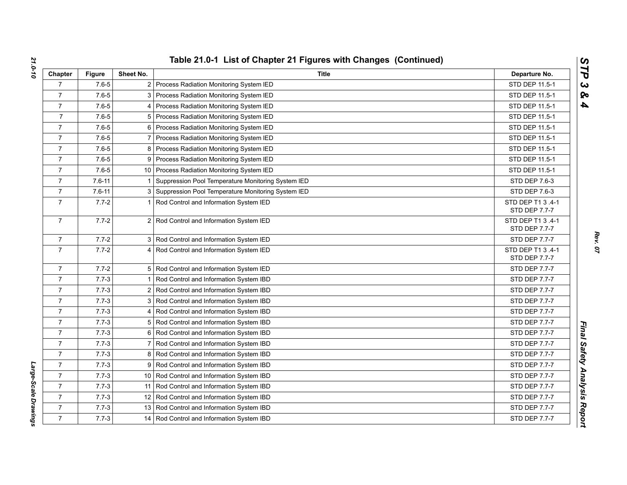| Chapter        | <b>Figure</b> | Sheet No.      | <b>Title</b>                                         | Departure No.                      |
|----------------|---------------|----------------|------------------------------------------------------|------------------------------------|
| $\overline{7}$ | $7.6 - 5$     |                | 2 Process Radiation Monitoring System IED            | STD DEP 11.5-1                     |
| $\overline{7}$ | $7.6 - 5$     |                | 3 Process Radiation Monitoring System IED            | STD DEP 11.5-1                     |
| $\overline{7}$ | $7.6 - 5$     |                | 4 Process Radiation Monitoring System IED            | STD DEP 11.5-1                     |
| $\overline{7}$ | $7.6 - 5$     |                | 5 Process Radiation Monitoring System IED            | STD DEP 11.5-1                     |
| $\overline{7}$ | $7.6 - 5$     |                | 6 Process Radiation Monitoring System IED            | STD DEP 11.5-1                     |
| $\overline{7}$ | $7.6 - 5$     |                | Process Radiation Monitoring System IED              | STD DEP 11.5-1                     |
| $\overline{7}$ | $7.6 - 5$     |                | 8 Process Radiation Monitoring System IED            | STD DEP 11.5-1                     |
| $\overline{7}$ | $7.6 - 5$     |                | 9 Process Radiation Monitoring System IED            | STD DEP 11.5-1                     |
| $\overline{7}$ | $7.6 - 5$     |                | 10 Process Radiation Monitoring System IED           | STD DEP 11.5-1                     |
| $\overline{7}$ | $7.6 - 11$    | -1             | Suppression Pool Temperature Monitoring System IED   | STD DEP 7.6-3                      |
| $\overline{7}$ | $7.6 - 11$    |                | 3 Suppression Pool Temperature Monitoring System IED | STD DEP 7.6-3                      |
| $\overline{7}$ | $7.7 - 2$     |                | Rod Control and Information System IED               | STD DEP T1 3 .4-1<br>STD DEP 7.7-7 |
| $\overline{7}$ | $7.7 - 2$     |                | 2 Rod Control and Information System IED             | STD DEP T1 3 .4-1<br>STD DEP 7.7-7 |
| 7              | $7.7 - 2$     |                | 3 Rod Control and Information System IED             | STD DEP 7.7-7                      |
| $\overline{7}$ | $7.7 - 2$     |                | 4 Rod Control and Information System IED             | STD DEP T1 3 .4-1<br>STD DEP 7.7-7 |
| $\overline{7}$ | $7.7 - 2$     |                | 5 Rod Control and Information System IED             | STD DEP 7.7-7                      |
| $\overline{7}$ | $7.7 - 3$     |                | 1 Rod Control and Information System IBD             | STD DEP 7.7-7                      |
| $\overline{7}$ | $7.7 - 3$     |                | 2 Rod Control and Information System IBD             | STD DEP 7.7-7                      |
| $\overline{7}$ | $7.7 - 3$     |                | 3 Rod Control and Information System IBD             | STD DEP 7.7-7                      |
| $\overline{7}$ | $7.7 - 3$     |                | 4 Rod Control and Information System IBD             | <b>STD DEP 7.7-7</b>               |
| $\overline{7}$ | $7.7 - 3$     |                | 5 Rod Control and Information System IBD             | STD DEP 7.7-7                      |
| $\overline{7}$ | $7.7 - 3$     |                | 6 Rod Control and Information System IBD             | STD DEP 7.7-7                      |
| $\overline{7}$ | $7.7 - 3$     | $\overline{7}$ | Rod Control and Information System IBD               | STD DEP 7.7-7                      |
| $\overline{7}$ | $7.7 - 3$     |                | 8 Rod Control and Information System IBD             | STD DEP 7.7-7                      |
| $\overline{7}$ | $7.7 - 3$     |                | 9 Rod Control and Information System IBD             | STD DEP 7.7-7                      |
| $\overline{7}$ | $7.7 - 3$     |                | 10 Rod Control and Information System IBD            | STD DEP 7.7-7                      |
| $\overline{7}$ | $7.7 - 3$     |                | 11 Rod Control and Information System IBD            | STD DEP 7.7-7                      |
| $\overline{7}$ | $7.7 - 3$     |                | 12 Rod Control and Information System IBD            | <b>STD DEP 7.7-7</b>               |
| $\overline{7}$ | $7.7 - 3$     |                | 13 Rod Control and Information System IBD            | STD DEP 7.7-7                      |
| $\overline{7}$ | $7.7 - 3$     |                | 14 Rod Control and Information System IBD            | <b>STD DEP 7.7-7</b>               |

Large-Scale Drawings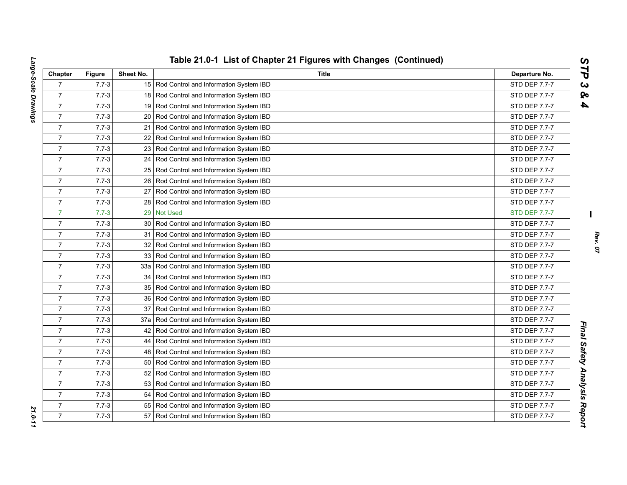|                 |           |                 | Table 21.0-1 List of Chapter 21 Figures with Changes (Continued) |                      |
|-----------------|-----------|-----------------|------------------------------------------------------------------|----------------------|
| Chapter         | Figure    | Sheet No.       | Title                                                            | Departure No.        |
| $\overline{7}$  | $7.7 - 3$ |                 | 15 Rod Control and Information System IBD                        | STD DEP 7.7-7        |
| $\overline{7}$  | $7.7 - 3$ |                 | 18 Rod Control and Information System IBD                        | STD DEP 7.7-7        |
| $\overline{7}$  | $7.7 - 3$ |                 | 19 Rod Control and Information System IBD                        | STD DEP 7.7-7        |
| $\overline{7}$  | $7.7 - 3$ | 20              | Rod Control and Information System IBD                           | STD DEP 7.7-7        |
| $\overline{7}$  | $7.7 - 3$ | 21              | Rod Control and Information System IBD                           | STD DEP 7.7-7        |
| $\overline{7}$  | $7.7 - 3$ | 22 <sub>1</sub> | Rod Control and Information System IBD                           | STD DEP 7.7-7        |
| $\overline{7}$  | $7.7 - 3$ | 23 <sub>1</sub> | Rod Control and Information System IBD                           | STD DEP 7.7-7        |
| $\overline{7}$  | $7.7 - 3$ | 24              | Rod Control and Information System IBD                           | STD DEP 7.7-7        |
| $\overline{7}$  | $7.7 - 3$ |                 | 25 Rod Control and Information System IBD                        | STD DEP 7.7-7        |
| $\overline{7}$  | $7.7 - 3$ | 26              | Rod Control and Information System IBD                           | STD DEP 7.7-7        |
| $\overline{7}$  | $7.7 - 3$ | 27              | Rod Control and Information System IBD                           | STD DEP 7.7-7        |
| $\overline{7}$  | $7.7 - 3$ | 28              | Rod Control and Information System IBD                           | STD DEP 7.7-7        |
| $\underline{7}$ | $7.7 - 3$ | 29              | <b>Not Used</b>                                                  | <b>STD DEP 7.7-7</b> |
| $\overline{7}$  | $7.7 - 3$ | 30 <sup>1</sup> | Rod Control and Information System IBD                           | STD DEP 7.7-7        |
| $\overline{7}$  | $7.7 - 3$ | 31              | Rod Control and Information System IBD                           | STD DEP 7.7-7        |
| $\overline{7}$  | $7.7 - 3$ | 32 <sub>1</sub> | Rod Control and Information System IBD                           | STD DEP 7.7-7        |
| $\overline{7}$  | $7.7 - 3$ | 33              | Rod Control and Information System IBD                           | STD DEP 7.7-7        |
| $\overline{7}$  | $7.7 - 3$ | 33a             | Rod Control and Information System IBD                           | STD DEP 7.7-7        |
| $\overline{7}$  | $7.7 - 3$ | 34              | Rod Control and Information System IBD                           | STD DEP 7.7-7        |
| $\overline{7}$  | $7.7 - 3$ | 35              | Rod Control and Information System IBD                           | STD DEP 7.7-7        |
| $\overline{7}$  | $7.7 - 3$ | 36 <sup>1</sup> | Rod Control and Information System IBD                           | <b>STD DEP 7.7-7</b> |
| $\overline{7}$  | $7.7 - 3$ | 37              | Rod Control and Information System IBD                           | STD DEP 7.7-7        |
| $\overline{7}$  | $7.7 - 3$ | 37a             | Rod Control and Information System IBD                           | STD DEP 7.7-7        |
| $\overline{7}$  | $7.7 - 3$ | 42              | Rod Control and Information System IBD                           | STD DEP 7.7-7        |
| $\overline{7}$  | $7.7 - 3$ | 44              | Rod Control and Information System IBD                           | STD DEP 7.7-7        |
| $\overline{7}$  | $7.7 - 3$ | 48              | Rod Control and Information System IBD                           | STD DEP 7.7-7        |
| $\overline{7}$  | $7.7 - 3$ | 50 <sup>1</sup> | Rod Control and Information System IBD                           | STD DEP 7.7-7        |
| $\overline{7}$  | $7.7 - 3$ |                 | 52 Rod Control and Information System IBD                        | STD DEP 7.7-7        |
| $\overline{7}$  | $7.7 - 3$ | 53              | Rod Control and Information System IBD                           | STD DEP 7.7-7        |
| $\overline{7}$  | $7.7 - 3$ | 54              | Rod Control and Information System IBD                           | STD DEP 7.7-7        |
| $\overline{7}$  | $7.7 - 3$ | 55              | Rod Control and Information System IBD                           | STD DEP 7.7-7        |
| $\overline{7}$  | $7.7 - 3$ | 57              | Rod Control and Information System IBD                           | STD DEP 7.7-7        |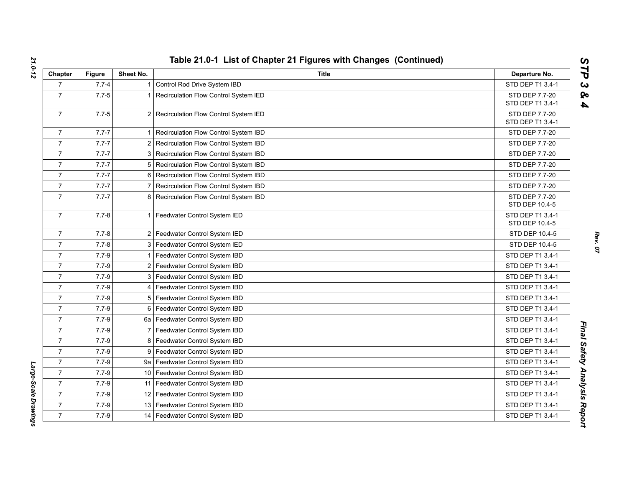| Chapter        | <b>Figure</b> | Sheet No.      | <b>Title</b>                          | Departure No.                      |
|----------------|---------------|----------------|---------------------------------------|------------------------------------|
| $\overline{7}$ | $7.7 - 4$     |                | Control Rod Drive System IBD          | STD DEP T1 3.4-1                   |
| $\overline{7}$ | $7.7 - 5$     |                | Recirculation Flow Control System IED | STD DEP 7.7-20                     |
|                |               |                |                                       | STD DEP T1 3.4-1                   |
| $\overline{7}$ | $7.7 - 5$     | $\overline{2}$ | Recirculation Flow Control System IED | STD DEP 7.7-20<br>STD DEP T1 3.4-1 |
| $\overline{7}$ | $7.7 - 7$     |                | Recirculation Flow Control System IBD | STD DEP 7.7-20                     |
| $\overline{7}$ | $7.7 - 7$     | 2              | Recirculation Flow Control System IBD | STD DEP 7.7-20                     |
| $\overline{7}$ | $7.7 - 7$     | 3              | Recirculation Flow Control System IBD | <b>STD DEP 7.7-20</b>              |
| $\overline{7}$ | $7.7 - 7$     | 5              | Recirculation Flow Control System IBD | STD DEP 7.7-20                     |
| $\overline{7}$ | $7.7 - 7$     | 6              | Recirculation Flow Control System IBD | <b>STD DEP 7.7-20</b>              |
| $\overline{7}$ | $7.7 - 7$     |                | Recirculation Flow Control System IBD | STD DEP 7.7-20                     |
| $\overline{7}$ | $7.7 - 7$     | 8              | Recirculation Flow Control System IBD | STD DEP 7.7-20<br>STD DEP 10.4-5   |
| $\overline{7}$ | $7.7 - 8$     | 1              | Feedwater Control System IED          | STD DEP T1 3.4-1<br>STD DEP 10.4-5 |
| $\overline{7}$ | $7.7 - 8$     | $\overline{2}$ | Feedwater Control System IED          | STD DEP 10.4-5                     |
| $\overline{7}$ | $7.7 - 8$     | 3              | Feedwater Control System IED          | STD DEP 10.4-5                     |
| $\overline{7}$ | $7.7 - 9$     |                | Feedwater Control System IBD          | STD DEP T1 3.4-1                   |
| $\overline{7}$ | $7.7 - 9$     | 2              | Feedwater Control System IBD          | STD DEP T1 3.4-1                   |
| $\overline{7}$ | $7.7 - 9$     | 3              | Feedwater Control System IBD          | STD DEP T1 3.4-1                   |
| $\overline{7}$ | $7.7 - 9$     |                | Feedwater Control System IBD          | STD DEP T1 3.4-1                   |
| $\overline{7}$ | $7.7 - 9$     | 5              | Feedwater Control System IBD          | STD DEP T1 3.4-1                   |
| $\overline{7}$ | $7.7 - 9$     | 6              | Feedwater Control System IBD          | STD DEP T1 3.4-1                   |
| $\overline{7}$ | $7.7 - 9$     | 6a             | Feedwater Control System IBD          | STD DEP T1 3.4-1                   |
| $\overline{7}$ | $7.7 - 9$     |                | Feedwater Control System IBD          | STD DEP T1 3.4-1                   |
| $\overline{7}$ | $7.7 - 9$     | 8              | Feedwater Control System IBD          | STD DEP T1 3.4-1                   |
| $\overline{7}$ | $7.7 - 9$     | 9              | Feedwater Control System IBD          | STD DEP T1 3.4-1                   |
| $\overline{7}$ | $7.7 - 9$     |                | 9a   Feedwater Control System IBD     | STD DEP T1 3.4-1                   |
| $\overline{7}$ | $7.7 - 9$     | 10             | Feedwater Control System IBD          | STD DEP T1 3.4-1                   |
| $\overline{7}$ | $7.7 - 9$     | 11             | Feedwater Control System IBD          | STD DEP T1 3.4-1                   |
| $\overline{7}$ | $7.7 - 9$     | 12             | Feedwater Control System IBD          | STD DEP T1 3.4-1                   |
| $\overline{7}$ | $7.7 - 9$     | 13             | Feedwater Control System IBD          | STD DEP T1 3.4-1                   |
| $\overline{7}$ | $7.7 - 9$     | 14             | Feedwater Control System IBD          | STD DEP T1 3.4-1                   |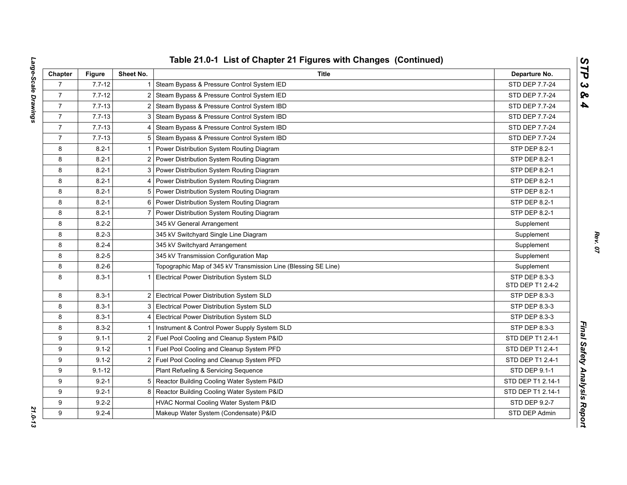| Chapter        | <b>Figure</b> | Sheet No.      | <b>Title</b>                                                   | Departure No.                     |
|----------------|---------------|----------------|----------------------------------------------------------------|-----------------------------------|
| $\overline{7}$ | $7.7 - 12$    | 1.             | Steam Bypass & Pressure Control System IED                     | STD DEP 7.7-24                    |
| $\overline{7}$ | $7.7 - 12$    | $\overline{2}$ | Steam Bypass & Pressure Control System IED                     | STD DEP 7.7-24                    |
| $\overline{7}$ | $7.7 - 13$    | 2 <sub>1</sub> | Steam Bypass & Pressure Control System IBD                     | STD DEP 7.7-24                    |
| $\overline{7}$ | $7.7 - 13$    | 3              | Steam Bypass & Pressure Control System IBD                     | STD DEP 7.7-24                    |
| $\overline{7}$ | $7.7 - 13$    |                | 4 Steam Bypass & Pressure Control System IBD                   | STD DEP 7.7-24                    |
| $\overline{7}$ | $7.7 - 13$    |                | 5 Steam Bypass & Pressure Control System IBD                   | STD DEP 7.7-24                    |
| 8              | $8.2 - 1$     |                | Power Distribution System Routing Diagram                      | STP DEP 8.2-1                     |
| 8              | $8.2 - 1$     | $\overline{2}$ | Power Distribution System Routing Diagram                      | STP DEP 8.2-1                     |
| 8              | $8.2 - 1$     | 3              | Power Distribution System Routing Diagram                      | STP DEP 8.2-1                     |
| 8              | $8.2 - 1$     | 4              | Power Distribution System Routing Diagram                      | STP DEP 8.2-1                     |
| 8              | $8.2 - 1$     |                | 5 Power Distribution System Routing Diagram                    | STP DEP 8.2-1                     |
| 8              | $8.2 - 1$     |                | 6 Power Distribution System Routing Diagram                    | STP DEP 8.2-1                     |
| 8              | $8.2 - 1$     | $\overline{7}$ | Power Distribution System Routing Diagram                      | STP DEP 8.2-1                     |
| 8              | $8.2 - 2$     |                | 345 kV General Arrangement                                     | Supplement                        |
| 8              | $8.2 - 3$     |                | 345 kV Switchyard Single Line Diagram                          | Supplement                        |
| 8              | $8.2 - 4$     |                | 345 kV Switchyard Arrangement                                  | Supplement                        |
| 8              | $8.2 - 5$     |                | 345 kV Transmission Configuration Map                          | Supplement                        |
| 8              | $8.2 - 6$     |                | Topographic Map of 345 kV Transmission Line (Blessing SE Line) | Supplement                        |
| 8              | $8.3 - 1$     | $\mathbf{1}$   | Electrical Power Distribution System SLD                       | STP DEP 8.3-3<br>STD DEP T1 2.4-2 |
| 8              | $8.3 - 1$     |                | 2 Electrical Power Distribution System SLD                     | STP DEP 8.3-3                     |
| 8              | $8.3 - 1$     |                | 3 Electrical Power Distribution System SLD                     | STP DEP 8.3-3                     |
| 8              | $8.3 - 1$     |                | 4 Electrical Power Distribution System SLD                     | STP DEP 8.3-3                     |
| 8              | $8.3 - 2$     |                | Instrument & Control Power Supply System SLD                   | STP DEP 8.3-3                     |
| 9              | $9.1 - 1$     |                | 2 Fuel Pool Cooling and Cleanup System P&ID                    | STD DEP T1 2.4-1                  |
| 9              | $9.1 - 2$     |                | Fuel Pool Cooling and Cleanup System PFD                       | STD DEP T1 2.4-1                  |
| 9              | $9.1 - 2$     |                | 2 Fuel Pool Cooling and Cleanup System PFD                     | STD DEP T1 2.4-1                  |
| 9              | $9.1 - 12$    |                | Plant Refueling & Servicing Sequence                           | STD DEP 9.1-1                     |
| 9              | $9.2 - 1$     |                | 5 Reactor Building Cooling Water System P&ID                   | STD DEP T1 2.14-1                 |
| 9              | $9.2 - 1$     | 8              | Reactor Building Cooling Water System P&ID                     | STD DEP T1 2.14-1                 |
| 9              | $9.2 - 2$     |                | HVAC Normal Cooling Water System P&ID                          | STD DEP 9.2-7                     |
| 9              | $9.2 - 4$     |                | Makeup Water System (Condensate) P&ID                          | STD DEP Admin                     |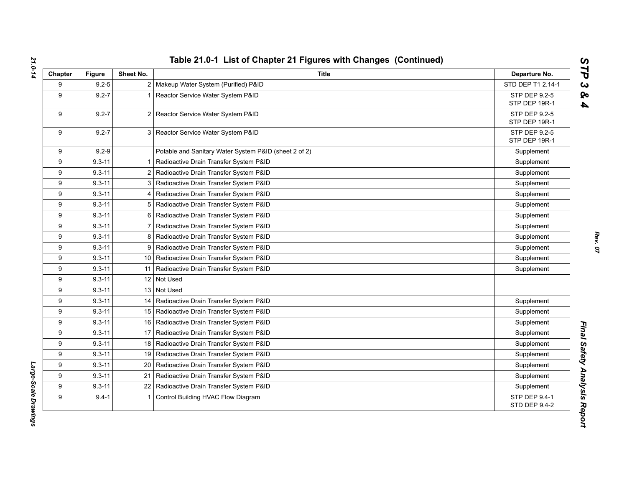| Chapter | <b>Figure</b> | Sheet No.      | <b>Title</b>                                          | Departure No.                         |
|---------|---------------|----------------|-------------------------------------------------------|---------------------------------------|
| 9       | $9.2 - 5$     |                | 2   Makeup Water System (Purified) P&ID               | STD DEP T1 2.14-1                     |
| 9       | $9.2 - 7$     |                | Reactor Service Water System P&ID                     | STP DEP 9.2-5<br>STP DEP 19R-1        |
| 9       | $9.2 - 7$     |                | 2 Reactor Service Water System P&ID                   | STP DEP 9.2-5<br>STP DEP 19R-1        |
| 9       | $9.2 - 7$     |                | 3 Reactor Service Water System P&ID                   | STP DEP 9.2-5<br>STP DEP 19R-1        |
| 9       | $9.2 - 9$     |                | Potable and Sanitary Water System P&ID (sheet 2 of 2) | Supplement                            |
| 9       | $9.3 - 11$    |                | Radioactive Drain Transfer System P&ID                | Supplement                            |
| 9       | $9.3 - 11$    |                | 2 Radioactive Drain Transfer System P&ID              | Supplement                            |
| 9       | $9.3 - 11$    |                | 3   Radioactive Drain Transfer System P&ID            | Supplement                            |
| 9       | $9.3 - 11$    |                | 4   Radioactive Drain Transfer System P&ID            | Supplement                            |
| 9       | $9.3 - 11$    |                | 5 Radioactive Drain Transfer System P&ID              | Supplement                            |
| 9       | $9.3 - 11$    | 6              | Radioactive Drain Transfer System P&ID                | Supplement                            |
| 9       | $9.3 - 11$    | $\overline{7}$ | Radioactive Drain Transfer System P&ID                | Supplement                            |
| 9       | $9.3 - 11$    |                | 8 Radioactive Drain Transfer System P&ID              | Supplement                            |
| 9       | $9.3 - 11$    |                | 9   Radioactive Drain Transfer System P&ID            | Supplement                            |
| 9       | $9.3 - 11$    |                | 10   Radioactive Drain Transfer System P&ID           | Supplement                            |
| 9       | $9.3 - 11$    |                | 11   Radioactive Drain Transfer System P&ID           | Supplement                            |
| 9       | $9.3 - 11$    |                | 12 Not Used                                           |                                       |
| 9       | $9.3 - 11$    |                | 13 Not Used                                           |                                       |
| 9       | $9.3 - 11$    |                | 14   Radioactive Drain Transfer System P&ID           | Supplement                            |
| 9       | $9.3 - 11$    |                | 15   Radioactive Drain Transfer System P&ID           | Supplement                            |
| 9       | $9.3 - 11$    |                | 16   Radioactive Drain Transfer System P&ID           | Supplement                            |
| 9       | $9.3 - 11$    |                | 17   Radioactive Drain Transfer System P&ID           | Supplement                            |
| 9       | $9.3 - 11$    |                | 18   Radioactive Drain Transfer System P&ID           | Supplement                            |
| 9       | $9.3 - 11$    |                | 19   Radioactive Drain Transfer System P&ID           | Supplement                            |
| 9       | $9.3 - 11$    | 20             | Radioactive Drain Transfer System P&ID                | Supplement                            |
| 9       | $9.3 - 11$    | 21             | Radioactive Drain Transfer System P&ID                | Supplement                            |
| 9       | $9.3 - 11$    | 22             | Radioactive Drain Transfer System P&ID                | Supplement                            |
| 9       | $9.4 - 1$     |                | Control Building HVAC Flow Diagram                    | STP DEP 9.4-1<br><b>STD DEP 9.4-2</b> |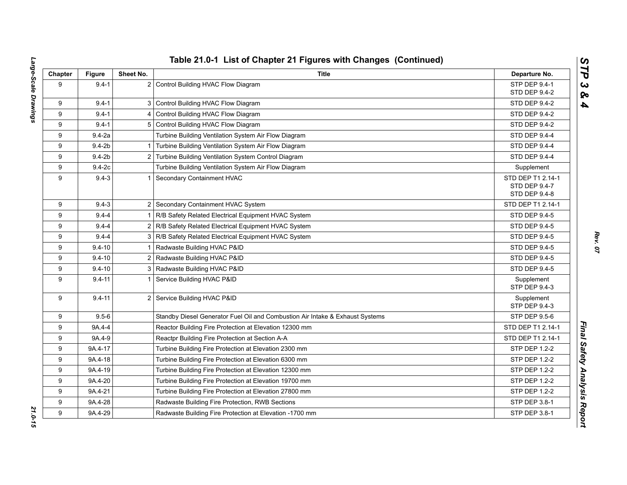| Chapter | <b>Figure</b> | Sheet No. | <b>Title</b>                                                                  | Departure No.                                       |
|---------|---------------|-----------|-------------------------------------------------------------------------------|-----------------------------------------------------|
| 9       | $9.4 - 1$     |           | 2 Control Building HVAC Flow Diagram                                          | STP DEP 9.4-1<br>STD DEP 9.4-2                      |
| 9       | $9.4 - 1$     |           | 3 Control Building HVAC Flow Diagram                                          | STD DEP 9.4-2                                       |
| 9       | $9.4 - 1$     |           | 4 Control Building HVAC Flow Diagram                                          | STD DEP 9.4-2                                       |
| 9       | $9.4 - 1$     |           | 5 Control Building HVAC Flow Diagram                                          | <b>STD DEP 9.4-2</b>                                |
| 9       | $9.4 - 2a$    |           | Turbine Building Ventilation System Air Flow Diagram                          | STD DEP 9.4-4                                       |
| 9       | $9.4 - 2b$    |           | 1 Turbine Building Ventilation System Air Flow Diagram                        | STD DEP 9.4-4                                       |
| 9       | $9.4-2b$      |           | 2 Turbine Building Ventilation System Control Diagram                         | <b>STD DEP 9.4-4</b>                                |
| 9       | $9.4-2c$      |           | Turbine Building Ventilation System Air Flow Diagram                          | Supplement                                          |
| 9       | $9.4 - 3$     |           | 1 Secondary Containment HVAC                                                  | STD DEP T1 2.14-1<br>STD DEP 9.4-7<br>STD DEP 9.4-8 |
| 9       | $9.4 - 3$     |           | 2 Secondary Containment HVAC System                                           | STD DEP T1 2.14-1                                   |
| 9       | $9.4 - 4$     |           | 1 R/B Safety Related Electrical Equipment HVAC System                         | <b>STD DEP 9.4-5</b>                                |
| 9       | $9.4 - 4$     |           | 2 R/B Safety Related Electrical Equipment HVAC System                         | STD DEP 9.4-5                                       |
| 9       | $9.4 - 4$     |           | 3 R/B Safety Related Electrical Equipment HVAC System                         | STD DEP 9.4-5                                       |
| 9       | $9.4 - 10$    |           | 1 Radwaste Building HVAC P&ID                                                 | STD DEP 9.4-5                                       |
| 9       | $9.4 - 10$    |           | 2 Radwaste Building HVAC P&ID                                                 | STD DEP 9.4-5                                       |
| 9       | $9.4 - 10$    |           | 3   Radwaste Building HVAC P&ID                                               | STD DEP 9.4-5                                       |
| 9       | $9.4 - 11$    |           | Service Building HVAC P&ID                                                    | Supplement<br>STP DEP 9.4-3                         |
| 9       | $9.4 - 11$    |           | 2 Service Building HVAC P&ID                                                  | Supplement<br>STP DEP 9.4-3                         |
| 9       | $9.5 - 6$     |           | Standby Diesel Generator Fuel Oil and Combustion Air Intake & Exhaust Systems | <b>STP DEP 9.5-6</b>                                |
| 9       | 9A.4-4        |           | Reactor Building Fire Protection at Elevation 12300 mm                        | STD DEP T1 2.14-1                                   |
| 9       | 9A.4-9        |           | Reactpr Building Fire Protection at Section A-A                               | STD DEP T1 2.14-1                                   |
| 9       | 9A.4-17       |           | Turbine Building Fire Protection at Elevation 2300 mm                         | <b>STP DEP 1.2-2</b>                                |
| 9       | 9A.4-18       |           | Turbine Building Fire Protection at Elevation 6300 mm                         | STP DEP 1.2-2                                       |
| 9       | 9A.4-19       |           | Turbine Building Fire Protection at Elevation 12300 mm                        | <b>STP DEP 1.2-2</b>                                |
| 9       | 9A.4-20       |           | Turbine Building Fire Protection at Elevation 19700 mm                        | STP DEP 1.2-2                                       |
| 9       | 9A.4-21       |           | Turbine Building Fire Protection at Elevation 27800 mm                        | STP DEP 1.2-2                                       |
| 9       | 9A.4-28       |           | Radwaste Building Fire Protection, RWB Sections                               | STP DEP 3.8-1                                       |
| 9       | 9A.4-29       |           | Radwaste Building Fire Protection at Elevation -1700 mm                       | STP DEP 3.8-1                                       |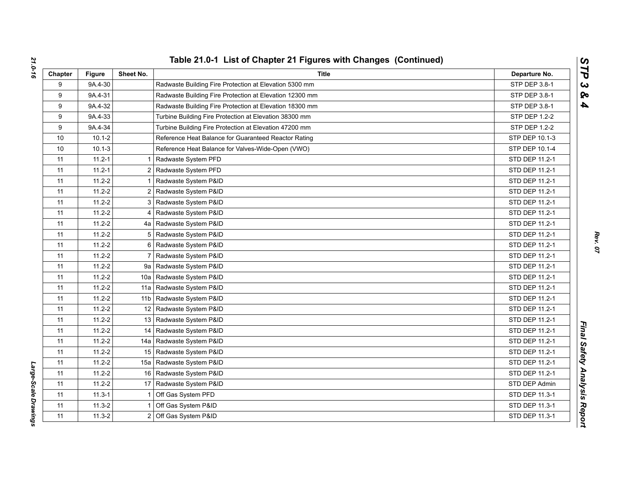| Chapter | <b>Figure</b> | Sheet No.       | Title                                                   | Departure No.  |
|---------|---------------|-----------------|---------------------------------------------------------|----------------|
| 9       | 9A.4-30       |                 | Radwaste Building Fire Protection at Elevation 5300 mm  | STP DEP 3.8-1  |
| 9       | 9A.4-31       |                 | Radwaste Building Fire Protection at Elevation 12300 mm | STP DEP 3.8-1  |
| 9       | 9A.4-32       |                 | Radwaste Building Fire Protection at Elevation 18300 mm | STP DEP 3.8-1  |
| 9       | 9A.4-33       |                 | Turbine Building Fire Protection at Elevation 38300 mm  | STP DEP 1.2-2  |
| 9       | 9A.4-34       |                 | Turbine Building Fire Protection at Elevation 47200 mm  | STP DEP 1.2-2  |
| 10      | $10.1 - 2$    |                 | Reference Heat Balance for Guaranteed Reactor Rating    | STP DEP 10.1-3 |
| 10      | $10.1 - 3$    |                 | Reference Heat Balance for Valves-Wide-Open (VWO)       | STP DEP 10.1-4 |
| 11      | $11.2 - 1$    |                 | Radwaste System PFD                                     | STD DEP 11.2-1 |
| 11      | $11.2 - 1$    | 2               | Radwaste System PFD                                     | STD DEP 11.2-1 |
| 11      | $11.2 - 2$    |                 | Radwaste System P&ID                                    | STD DEP 11.2-1 |
| 11      | $11.2 - 2$    | 2               | Radwaste System P&ID                                    | STD DEP 11.2-1 |
| 11      | $11.2 - 2$    | 3               | Radwaste System P&ID                                    | STD DEP 11.2-1 |
| 11      | $11.2 - 2$    | 4               | Radwaste System P&ID                                    | STD DEP 11.2-1 |
| 11      | $11.2 - 2$    |                 | 4a   Radwaste System P&ID                               | STD DEP 11.2-1 |
| 11      | $11.2 - 2$    | 5               | Radwaste System P&ID                                    | STD DEP 11.2-1 |
| 11      | $11.2 - 2$    | 6               | Radwaste System P&ID                                    | STD DEP 11.2-1 |
| 11      | $11.2 - 2$    | $\overline{7}$  | Radwaste System P&ID                                    | STD DEP 11.2-1 |
| 11      | $11.2 - 2$    | 9а              | Radwaste System P&ID                                    | STD DEP 11.2-1 |
| 11      | $11.2 - 2$    | 10a             | Radwaste System P&ID                                    | STD DEP 11.2-1 |
| 11      | $11.2 - 2$    | 11a             | Radwaste System P&ID                                    | STD DEP 11.2-1 |
| 11      | $11.2 - 2$    | 11 <sub>b</sub> | Radwaste System P&ID                                    | STD DEP 11.2-1 |
| 11      | $11.2 - 2$    | 12              | Radwaste System P&ID                                    | STD DEP 11.2-1 |
| 11      | $11.2 - 2$    |                 | 13 Radwaste System P&ID                                 | STD DEP 11.2-1 |
| 11      | $11.2 - 2$    | 14              | Radwaste System P&ID                                    | STD DEP 11.2-1 |
| 11      | $11.2 - 2$    | 14a             | Radwaste System P&ID                                    | STD DEP 11.2-1 |
| 11      | $11.2 - 2$    |                 | 15 Radwaste System P&ID                                 | STD DEP 11.2-1 |
| 11      | $11.2 - 2$    | 15a             | Radwaste System P&ID                                    | STD DEP 11.2-1 |
| 11      | $11.2 - 2$    |                 | 16 Radwaste System P&ID                                 | STD DEP 11.2-1 |
| 11      | $11.2 - 2$    | 17              | Radwaste System P&ID                                    | STD DEP Admin  |
| 11      | $11.3 - 1$    |                 | Off Gas System PFD                                      | STD DEP 11.3-1 |
| 11      | $11.3 - 2$    |                 | Off Gas System P&ID                                     | STD DEP 11.3-1 |
| 11      | $11.3 - 2$    | $\overline{2}$  | Off Gas System P&ID                                     | STD DEP 11.3-1 |

Large-Scale Drawings *Large-Scale Drawings*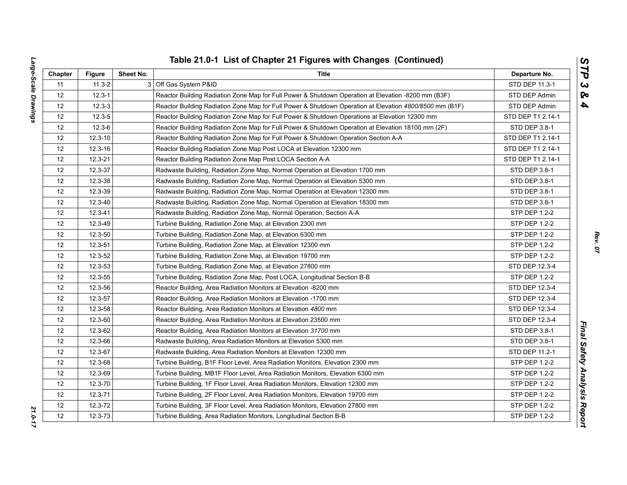| ì<br>l | ļ<br>ĺ<br>$\overline{1}$<br>J<br>֚֘֝֬<br>:<br>i<br>֧֧֧֧֧֧֧֧֧֧֧֧֧֧֧֛֧֧֧֧֧֛֚֚֚֚֚֚֚֚֚֚֚֚֚֚֚֝֝֓֜֓֜֓֓֜֜֜֓֜֜֓֜֓֜֓֓֓֜֓ |
|--------|-----------------------------------------------------------------------------------------------------------------|
|        |                                                                                                                 |
|        |                                                                                                                 |
|        |                                                                                                                 |
|        |                                                                                                                 |
|        |                                                                                                                 |
|        |                                                                                                                 |
|        |                                                                                                                 |
|        |                                                                                                                 |
|        | <b>E</b><br>l<br>١<br>$\overline{a}$<br>י                                                                       |

| Chapter           | <b>Figure</b>                                                                        | Sheet No. | Title                                                                                                   | Departure No.        |
|-------------------|--------------------------------------------------------------------------------------|-----------|---------------------------------------------------------------------------------------------------------|----------------------|
| 11                | $11.3 - 2$                                                                           |           | 3 Off Gas System P&ID                                                                                   | STD DEP 11.3-1       |
| 12                | $12.3 - 1$                                                                           |           | Reactor Building Radiation Zone Map for Full Power & Shutdown Operation at Elevation -8200 mm (B3F)     | STD DEP Admin        |
| 12                | $12.3 - 3$                                                                           |           | Reactor Building Radiation Zone Map for Full Power & Shutdown Operation at Elevation 4800/8500 mm (B1F) | STD DEP Admin        |
| 12                | $12.3 - 5$                                                                           |           | Reactor Building Radiation Zone Map for Full Power & Shutdown Operations at Elevation 12300 mm          | STD DEP T1 2.14-1    |
| 12                | $12.3 - 6$                                                                           |           | Reactor Building Radiation Zone Map for Full Power & Shutdown Operation at Elevation 18100 mm (2F)      | STD DEP 3.8-1        |
| 12                | $12.3 - 10$                                                                          |           | Reactor Building Radiation Zone Map for Full Power & Shutdown Operation Section A-A                     | STD DEP T1 2.14-1    |
| 12                | 12.3-16                                                                              |           | Reactor Building Radiation Zone Map Post LOCA at Elevation 12300 mm                                     | STD DEP T1 2.14-1    |
| 12                | 12.3-21                                                                              |           | Reactor Building Radiation Zone Map Post LOCA Section A-A                                               | STD DEP T1 2.14-1    |
| 12                | 12.3-37                                                                              |           | Radwaste Building, Radiation Zone Map, Normal Operation at Elevation 1700 mm                            | STD DEP 3.8-1        |
| 12                | 12.3-38                                                                              |           | Radwaste Building, Radiation Zone Map, Normal Operation at Elevation 5300 mm                            | STD DEP 3.8-1        |
| 12                | 12.3-39                                                                              |           | Radwaste Building, Radiation Zone Map, Normal Operation at Elevation 12300 mm                           | STD DEP 3.8-1        |
| 12                | 12.3-40                                                                              |           | Radwaste Building, Radiation Zone Map, Normal Operation at Elevation 18300 mm                           | STD DEP 3.8-1        |
| 12                | 12.3-41                                                                              |           | Radwaste Building, Radiation Zone Map, Normal Operation, Section A-A                                    | STP DEP 1.2-2        |
| $12 \overline{ }$ | 12.3-49                                                                              |           | Turbine Building, Radiation Zone Map, at Elevation 2300 mm                                              | <b>STP DEP 1.2-2</b> |
| 12                | 12.3-50<br>Turbine Building, Radiation Zone Map, at Elevation 6300 mm                |           | STP DEP 1.2-2                                                                                           |                      |
| 12                | 12.3-51                                                                              |           | Turbine Building, Radiation Zone Map, at Elevation 12300 mm                                             | STP DEP 1.2-2        |
| 12                | 12.3-52                                                                              |           | Turbine Building, Radiation Zone Map, at Elevation 19700 mm                                             | STP DEP 1.2-2        |
| 12                | 12.3-53<br>Turbine Building, Radiation Zone Map, at Elevation 27800 mm               |           | STD DEP 12.3-4                                                                                          |                      |
| 12                | 12.3-55<br>Turbine Building, Radiation Zone Map, Post LOCA, Longitudinal Section B-B |           | STP DEP 1.2-2                                                                                           |                      |
| 12                | 12.3-56                                                                              |           | Reactor Building, Area Radiation Monitors at Elevation -8200 mm                                         | STD DEP 12.3-4       |
| 12                | 12.3-57                                                                              |           | Reactor Building, Area Radiation Monitors at Elevation -1700 mm                                         | STD DEP 12.3-4       |
| 12                | 12.3-58                                                                              |           | Reactor Building, Area Radiation Monitors at Elevation 4800 mm                                          | STD DEP 12.3-4       |
| $12 \overline{ }$ | 12.3-60                                                                              |           | Reactor Building, Area Radiation Monitors at Elevation 23500 mm                                         | STD DEP 12.3-4       |
| 12                | 12.3-62                                                                              |           | Reactor Building, Area Radiation Monitors at Elevation 31700 mm                                         | STD DEP 3.8-1        |
| 12                | 12.3-66                                                                              |           | Radwaste Building, Area Radiation Monitors at Elevation 5300 mm                                         | STD DEP 3.8-1        |
| 12                | 12.3-67                                                                              |           | Radwaste Building, Area Radiation Monitors at Elevation 12300 mm                                        | STD DEP 11.2-1       |
| 12                | 12.3-68                                                                              |           | Turbine Building, B1F Floor Level, Area Radiation Monitors, Elevation 2300 mm                           | STP DEP 1.2-2        |
| 12                | 12.3-69                                                                              |           | Turbine Building, MB1F Floor Level, Area Radiation Monitors, Elevation 6300 mm                          | STP DEP 1.2-2        |
| 12                | 12.3-70                                                                              |           | Turbine Building, 1F Floor Level, Area Radiation Monitors, Elevation 12300 mm                           | STP DEP 1.2-2        |
| 12                | $12.3 - 71$                                                                          |           | Turbine Building, 2F Floor Level, Area Radiation Monitors, Elevation 19700 mm                           | <b>STP DEP 1.2-2</b> |
| 12                | 12.3-72                                                                              |           | Turbine Building, 3F Floor Level, Area Radiation Monitors, Elevation 27800 mm                           | STP DEP 1.2-2        |
| 12                | $12.3 - 73$                                                                          |           | Turbine Building, Area Radiation Monitors, Longitudinal Section B-B                                     | <b>STP DEP 1.2-2</b> |

*Rev. 07*

*STP 3 & 4*